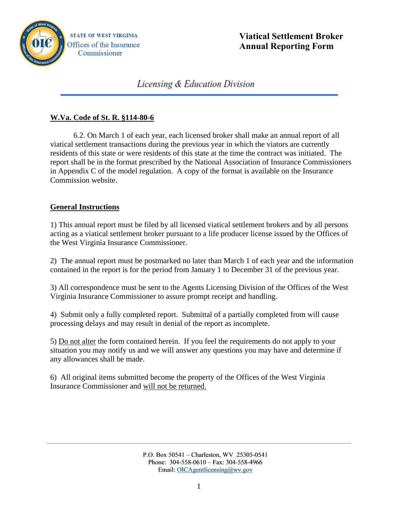

# Licensing & Education Division

## **W.Va. Code of St. R. §114-80-6**

 6.2. On March 1 of each year, each licensed broker shall make an annual report of all viatical settlement transactions during the previous year in which the viators are currently residents of this state or were residents of this state at the time the contract was initiated. The report shall be in the format prescribed by the National Association of Insurance Commissioners in Appendix C of the model regulation. A copy of the format is available on the Insurance Commission website.

### **General Instructions**

1) This annual report must be filed by all licensed viatical settlement brokers and by all persons acting as a viatical settlement broker pursuant to a life producer license issued by the Offices of the West Virginia Insurance Commissioner.

2) The annual report must be postmarked no later than March 1 of each year and the information contained in the report is for the period from January 1 to December 31 of the previous year.

3) All correspondence must be sent to the Agents Licensing Division of the Offices of the West Virginia Insurance Commissioner to assure prompt receipt and handling.

4) Submit only a fully completed report. Submittal of a partially completed from will cause processing delays and may result in denial of the report as incomplete.

5) Do not alter the form contained herein. If you feel the requirements do not apply to your situation you may notify us and we will answer any questions you may have and determine if any allowances shall be made.

6) All original items submitted become the property of the Offices of the West Virginia Insurance Commissioner and will not be returned.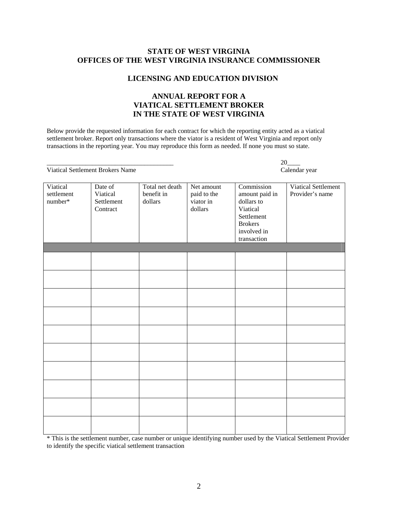#### **STATE OF WEST VIRGINIA OFFICES OF THE WEST VIRGINIA INSURANCE COMMISSIONER**

#### **LICENSING AND EDUCATION DIVISION**

### **ANNUAL REPORT FOR A VIATICAL SETTLEMENT BROKER IN THE STATE OF WEST VIRGINIA**

Below provide the requested information for each contract for which the reporting entity acted as a viatical settlement broker. Report only transactions where the viator is a resident of West Virginia and report only transactions in the reporting year. You may reproduce this form as needed. If none you must so state.

Viatical Settlement Brokers Name Calendar year

 $\overline{\phantom{a}20}$ 

| Viatical<br>settlement<br>number* | Date of<br>Viatical<br>Settlement<br>Contract | Total net death<br>benefit in<br>dollars | Net amount<br>paid to the<br>viator in<br>dollars | Commission<br>amount paid in<br>dollars to<br>Viatical<br>Settlement<br><b>Brokers</b><br>involved in<br>transaction | Viatical Settlement<br>Provider's name |
|-----------------------------------|-----------------------------------------------|------------------------------------------|---------------------------------------------------|----------------------------------------------------------------------------------------------------------------------|----------------------------------------|
|                                   |                                               |                                          |                                                   |                                                                                                                      |                                        |
|                                   |                                               |                                          |                                                   |                                                                                                                      |                                        |
|                                   |                                               |                                          |                                                   |                                                                                                                      |                                        |
|                                   |                                               |                                          |                                                   |                                                                                                                      |                                        |
|                                   |                                               |                                          |                                                   |                                                                                                                      |                                        |
|                                   |                                               |                                          |                                                   |                                                                                                                      |                                        |

\* This is the settlement number, case number or unique identifying number used by the Viatical Settlement Provider to identify the specific viatical settlement transaction